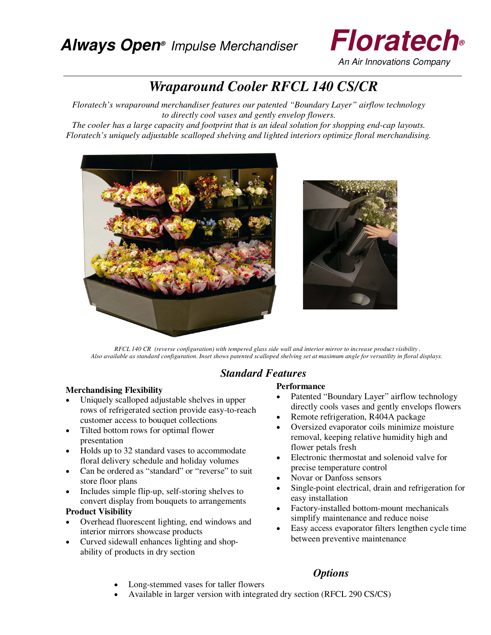

An Air Innovations Company

# *Wraparound Cooler RFCL 140 CS/CR*

*Floratech's wraparound merchandiser features our patented "Boundary Layer" airflow technology to directly cool vases and gently envelop flowers.* 

*The cooler has a large capacity and footprint that is an ideal solution for shopping end-cap layouts. Floratech's uniquely adjustable scalloped shelving and lighted interiors optimize floral merchandising.* 



 *RFCL 140 CR (reverse configuration) with tempered glass side wall and interior mirror to increase product visibility . Also available as standard configuration. Inset shows patented scalloped shelving set at maximum angle for versatility in floral displays.* 

## *Standard Features*

#### **Merchandising Flexibility**

- Uniquely scalloped adjustable shelves in upper rows of refrigerated section provide easy-to-reach customer access to bouquet collections
- �� Tilted bottom rows for optimal flower presentation
- �� Holds up to 32 standard vases to accommodate floral delivery schedule and holiday volumes
- Can be ordered as "standard" or "reverse" to suit store floor plans
- �� Includes simple flip-up, self-storing shelves to convert display from bouquets to arrangements

#### **Product Visibility**

- �� Overhead fluorescent lighting, end windows and interior mirrors showcase products
- Curved sidewall enhances lighting and shopability of products in dry section

# **Performance**

- Patented "Boundary Layer" airflow technology directly cools vases and gently envelops flowers
- Remote refrigeration, R404A package
- Oversized evaporator coils minimize moisture removal, keeping relative humidity high and flower petals fresh
- �� Electronic thermostat and solenoid valve for precise temperature control
- Novar or Danfoss sensors
- Single-point electrical, drain and refrigeration for easy installation
- Factory-installed bottom-mount mechanicals simplify maintenance and reduce noise
- �� Easy access evaporator filters lengthen cycle time between preventive maintenance
- �� Long-stemmed vases for taller flowers
- �� Available in larger version with integrated dry section (RFCL 290 CS/CS)

## *Options*